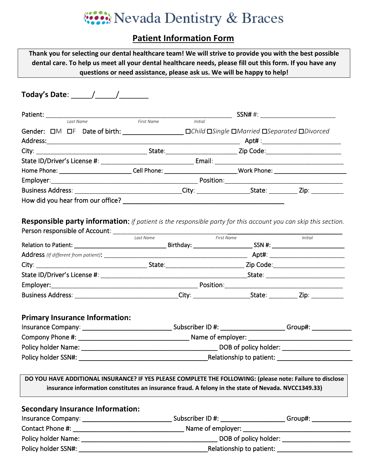# Wevada Dentistry & Braces

### **Patient Information Form**

| Thank you for selecting our dental healthcare team! We will strive to provide you with the best possible<br>dental care. To help us meet all your dental healthcare needs, please fill out this form. If you have any | questions or need assistance, please ask us. We will be happy to help! |                |                |  |                                      |  |
|-----------------------------------------------------------------------------------------------------------------------------------------------------------------------------------------------------------------------|------------------------------------------------------------------------|----------------|----------------|--|--------------------------------------|--|
|                                                                                                                                                                                                                       |                                                                        |                |                |  |                                      |  |
|                                                                                                                                                                                                                       |                                                                        |                |                |  | SSN# #: ____________________________ |  |
|                                                                                                                                                                                                                       | First Name                                                             | <b>Initial</b> |                |  |                                      |  |
|                                                                                                                                                                                                                       |                                                                        |                |                |  |                                      |  |
|                                                                                                                                                                                                                       |                                                                        |                |                |  |                                      |  |
|                                                                                                                                                                                                                       |                                                                        |                |                |  |                                      |  |
|                                                                                                                                                                                                                       |                                                                        |                |                |  |                                      |  |
| Home Phone: __________________________Cell Phone: ____________________________Work Phone: ____________________                                                                                                        |                                                                        |                |                |  |                                      |  |
|                                                                                                                                                                                                                       |                                                                        |                |                |  |                                      |  |
| Business Address: _________________________________City: _______________________State: _____________Zip: ____________                                                                                                 |                                                                        |                |                |  |                                      |  |
| Responsible party information: if patient is the responsible party for this account you can skip this section.                                                                                                        |                                                                        |                |                |  |                                      |  |
|                                                                                                                                                                                                                       |                                                                        |                |                |  |                                      |  |
|                                                                                                                                                                                                                       | Last Name                                                              |                | $-$ First Name |  | Initial                              |  |
|                                                                                                                                                                                                                       |                                                                        |                |                |  |                                      |  |
|                                                                                                                                                                                                                       |                                                                        |                |                |  |                                      |  |
|                                                                                                                                                                                                                       |                                                                        |                |                |  |                                      |  |
|                                                                                                                                                                                                                       |                                                                        |                |                |  |                                      |  |
| Business Address: _________________________________City: _______________________State: _____________ Zip: ___________                                                                                                 |                                                                        |                |                |  |                                      |  |
| <b>Primary Insurance Information:</b>                                                                                                                                                                                 |                                                                        |                |                |  |                                      |  |
|                                                                                                                                                                                                                       |                                                                        |                |                |  |                                      |  |
|                                                                                                                                                                                                                       |                                                                        |                |                |  |                                      |  |
|                                                                                                                                                                                                                       |                                                                        |                |                |  |                                      |  |
| DO YOU HAVE ADDITIONAL INSURANCE? IF YES PLEASE COMPLETE THE FOLLOWING: (please note: Failure to disclose<br>insurance information constitutes an insurance fraud. A felony in the state of Nevada. NVCC1349.33)      |                                                                        |                |                |  |                                      |  |
| <b>Secondary Insurance Information:</b>                                                                                                                                                                               |                                                                        |                |                |  |                                      |  |
|                                                                                                                                                                                                                       |                                                                        |                |                |  |                                      |  |
|                                                                                                                                                                                                                       |                                                                        |                |                |  |                                      |  |
|                                                                                                                                                                                                                       |                                                                        |                |                |  |                                      |  |
|                                                                                                                                                                                                                       |                                                                        |                |                |  |                                      |  |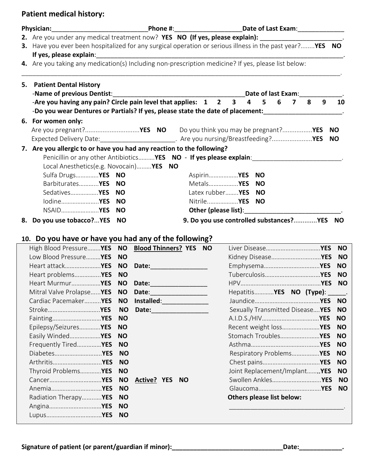### **Patient medical history:**

| <b>Physician:</b>                                                                                        |           |                                                               |                                                                                                                 |  |  |  |  |  |  |  |
|----------------------------------------------------------------------------------------------------------|-----------|---------------------------------------------------------------|-----------------------------------------------------------------------------------------------------------------|--|--|--|--|--|--|--|
|                                                                                                          |           |                                                               | 2. Are you under any medical treatment now? YES NO (If yes, please explain): _______________________.           |  |  |  |  |  |  |  |
| 3. Have you ever been hospitalized for any surgical operation or serious illness in the past year?YES NO |           |                                                               |                                                                                                                 |  |  |  |  |  |  |  |
| If yes, please explain:                                                                                  |           |                                                               |                                                                                                                 |  |  |  |  |  |  |  |
| 4. Are you taking any medication(s) Including non-prescription medicine? If yes, please list below:      |           |                                                               |                                                                                                                 |  |  |  |  |  |  |  |
| 5. Patient Dental History                                                                                |           |                                                               |                                                                                                                 |  |  |  |  |  |  |  |
| -Name of previous Dentist:                                                                               |           | Date of last Exam:                                            |                                                                                                                 |  |  |  |  |  |  |  |
|                                                                                                          |           | -Are you having any pain? Circle pain level that applies: 1 2 | $\mathbf{3}$<br>5<br>6<br>9<br>10<br>4<br>7<br>8                                                                |  |  |  |  |  |  |  |
|                                                                                                          |           |                                                               | -Do you wear Dentures or Partials? If yes, please state the date of placement:<br>-                             |  |  |  |  |  |  |  |
| 6. For women only:                                                                                       |           |                                                               |                                                                                                                 |  |  |  |  |  |  |  |
|                                                                                                          |           |                                                               | NO.                                                                                                             |  |  |  |  |  |  |  |
|                                                                                                          |           |                                                               | Expected Delivery Date:__________________________. Are you nursing/Breastfeeding?YES<br><b>NO</b>               |  |  |  |  |  |  |  |
| 7. Are you allergic to or have you had any reaction to the following?                                    |           |                                                               |                                                                                                                 |  |  |  |  |  |  |  |
|                                                                                                          |           |                                                               | Penicillin or any other Antibiotics <b>YES</b> NO - If yes please explain:                                      |  |  |  |  |  |  |  |
| Local Anesthetics(e.g. Novocain) YES NO                                                                  |           |                                                               |                                                                                                                 |  |  |  |  |  |  |  |
| Sulfa Drugs YES NO                                                                                       |           |                                                               | Aspirin <b>YES NO</b>                                                                                           |  |  |  |  |  |  |  |
| Barbiturates <b>YES</b>                                                                                  | <b>NO</b> |                                                               | Metals <b>YES</b><br><b>NO</b>                                                                                  |  |  |  |  |  |  |  |
| Sedatives <b>YES</b>                                                                                     | <b>NO</b> |                                                               | Latex rubber <b>YES</b><br><b>NO</b>                                                                            |  |  |  |  |  |  |  |
| lodine <b>YES</b>                                                                                        | <b>NO</b> |                                                               | Nitrile <b>YES</b><br><b>NO</b>                                                                                 |  |  |  |  |  |  |  |
| NSAID <b>YES</b>                                                                                         | <b>NO</b> |                                                               | Other (please list): Management Contains a series of the contact of the contact of the contact of the contact o |  |  |  |  |  |  |  |
| 8. Do you use tobacco?YES NO                                                                             |           |                                                               | 9. Do you use controlled substances?YES NO                                                                      |  |  |  |  |  |  |  |
|                                                                                                          |           |                                                               |                                                                                                                 |  |  |  |  |  |  |  |
| 10. Do you have or have you had any of the following?                                                    |           |                                                               |                                                                                                                 |  |  |  |  |  |  |  |
| High Blood Pressure YES NO Blood Thinners? YES NO                                                        |           |                                                               | <b>NO</b>                                                                                                       |  |  |  |  |  |  |  |
| Low Blood PressureYES                                                                                    | <b>NO</b> |                                                               | <b>NO</b>                                                                                                       |  |  |  |  |  |  |  |
| Heart attack <b>YES</b>                                                                                  | <b>NO</b> | Date: <u>_______</u>                                          | <b>NO</b>                                                                                                       |  |  |  |  |  |  |  |
| Heart problems YES                                                                                       | <b>NO</b> |                                                               | <b>NO</b>                                                                                                       |  |  |  |  |  |  |  |
| Heart MurmurYES                                                                                          | <b>NO</b> |                                                               | <b>NO</b>                                                                                                       |  |  |  |  |  |  |  |
| Mitral Valve Prolapse <b>YES NO Date:</b>                                                                |           |                                                               | Hepatitis YES NO (Type):<br>$\sim$                                                                              |  |  |  |  |  |  |  |
| Cardiac Pacemaker YES                                                                                    | <b>NO</b> | Installed:___________________                                 | <b>NO</b>                                                                                                       |  |  |  |  |  |  |  |
| Stroke <b>YES</b>                                                                                        | <b>NO</b> |                                                               | Sexually Transmitted Disease YES<br><b>NO</b>                                                                   |  |  |  |  |  |  |  |
|                                                                                                          | <b>NO</b> |                                                               | <b>NO</b>                                                                                                       |  |  |  |  |  |  |  |
| Epilepsy/Seizures YES                                                                                    | <b>NO</b> |                                                               | Recent weight loss YES<br><b>NO</b>                                                                             |  |  |  |  |  |  |  |
| Easily Winded YES                                                                                        | <b>NO</b> |                                                               | Stomach Troubles YES<br><b>NO</b>                                                                               |  |  |  |  |  |  |  |
| Frequently Tired YES                                                                                     | <b>NO</b> |                                                               | <b>NO</b>                                                                                                       |  |  |  |  |  |  |  |
|                                                                                                          | <b>NO</b> |                                                               | Respiratory Problems YES<br><b>NO</b>                                                                           |  |  |  |  |  |  |  |
|                                                                                                          | <b>NO</b> |                                                               | <b>NO</b>                                                                                                       |  |  |  |  |  |  |  |
| Thyroid Problems YES                                                                                     | <b>NO</b> |                                                               | Joint Replacement/Implant YES<br><b>NO</b>                                                                      |  |  |  |  |  |  |  |
|                                                                                                          | <b>NO</b> | Active? YES NO                                                | Swollen Ankles YES<br><b>NO</b>                                                                                 |  |  |  |  |  |  |  |
|                                                                                                          | <b>NO</b> |                                                               | <b>NO</b>                                                                                                       |  |  |  |  |  |  |  |
| Radiation Therapy YES                                                                                    | <b>NO</b> |                                                               | Others please list below:                                                                                       |  |  |  |  |  |  |  |
|                                                                                                          | <b>NO</b> |                                                               |                                                                                                                 |  |  |  |  |  |  |  |
|                                                                                                          | <b>NO</b> |                                                               |                                                                                                                 |  |  |  |  |  |  |  |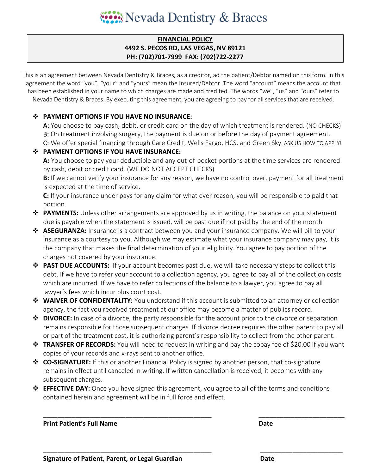## West Nevada Dentistry & Braces

#### **FINANCIAL POLICY 4492 S. PECOS RD, LAS VEGAS, NV 89121 PH: (702)701-7999 FAX: (702)722-2277**

This is an agreement between Nevada Dentistry & Braces, as a creditor, ad the patient/Debtor named on this form. In this agreement the word "you", "your" and "yours" mean the Insured/Debtor. The word "account" means the account that has been established in your name to which charges are made and credited. The words "we", "us" and "ours" refer to Nevada Dentistry & Braces. By executing this agreement, you are agreeing to pay for all services that are received.

#### **PAYMENT OPTIONS IF YOU HAVE NO INSURANCE:**

A: You choose to pay cash, debit, or credit card on the day of which treatment is rendered. (NO CHECKS) B: On treatment involving surgery, the payment is due on or before the day of payment agreement.

C: We offer special financing through Care Credit, Wells Fargo, HCS, and Green Sky. ASK US HOW TO APPLY!

#### **PAYMENT OPTIONS IF YOU HAVE INSURANCE:**

**A:** You choose to pay your deductible and any out-of-pocket portions at the time services are rendered by cash, debit or credit card. (WE DO NOT ACCEPT CHECKS)

**B:** If we cannot verify your insurance for any reason, we have no control over, payment for all treatment is expected at the time of service.

**C:** If your insurance under pays for any claim for what ever reason, you will be responsible to paid that portion.

- **PAYMENTS:** Unless other arrangements are approved by us in writing, the balance on your statement due is payable when the statement is issued, will be past due if not paid by the end of the month.
- **ASEGURANZA:** Insurance is a contract between you and your insurance company. We will bill to your insurance as a courtesy to you. Although we may estimate what your insurance company may pay, it is the company that makes the final determination of your eligibility. You agree to pay portion of the charges not covered by your insurance.
- **PAST DUE ACCOUNTS:** If your account becomes past due, we will take necessary steps to collect this debt. If we have to refer your account to a collection agency, you agree to pay all of the collection costs which are incurred. If we have to refer collections of the balance to a lawyer, you agree to pay all lawyer's fees which incur plus court cost.
- **WAIVER OF CONFIDENTALITY:** You understand if this account is submitted to an attorney or collection agency, the fact you received treatment at our office may become a matter of publics record.
- $\dots$  **DIVORCE:** In case of a divorce, the party responsible for the account prior to the divorce or separation remains responsible for those subsequent charges. If divorce decree requires the other parent to pay all or part of the treatment cost, it is authorizing parent's responsibility to collect from the other parent.
- **TRANSFER OF RECORDS:** You will need to request in writing and pay the copay fee of \$20.00 if you want copies of your records and x-rays sent to another office.
- **CO-SIGNATURE:** If this or another Financial Policy is signed by another person, that co-signature remains in effect until canceled in writing. If written cancellation is received, it becomes with any subsequent charges.
- **EFFECTIVE DAY:** Once you have signed this agreement, you agree to all of the terms and conditions contained herein and agreement will be in full force and effect.

**\_\_\_\_\_\_\_\_\_\_\_\_\_\_\_\_\_\_\_\_\_\_\_\_\_\_\_\_\_\_\_\_\_\_\_\_\_\_\_\_\_\_\_\_\_\_\_ \_\_\_\_\_\_\_\_\_\_\_\_\_\_\_\_\_\_\_\_\_\_\_\_**

**\_\_\_\_\_\_\_\_\_\_\_\_\_\_\_\_\_\_\_\_\_\_\_\_\_\_\_\_\_\_\_\_\_\_\_\_\_\_\_\_\_\_\_\_\_\_\_ \_\_\_\_\_\_\_\_\_\_\_\_\_\_\_\_\_\_\_\_\_\_\_**

**Print Patient's Full Name Date Date Date**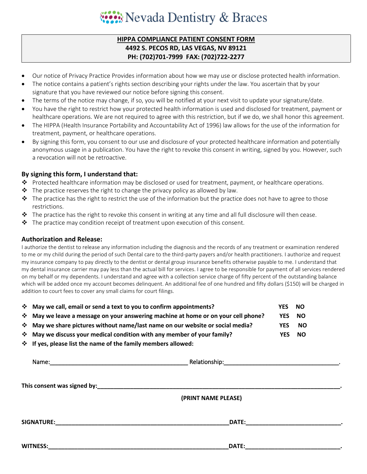## West Nevada Dentistry & Braces

#### **HIPPA COMPLIANCE PATIENT CONSENT FORM 4492 S. PECOS RD, LAS VEGAS, NV 89121 PH: (702)701-7999 FAX: (702)722-2277**

- Our notice of Privacy Practice Provides information about how we may use or disclose protected health information.
- The notice contains a patient's rights section describing your rights under the law. You ascertain that by your signature that you have reviewed our notice before signing this consent.
- The terms of the notice may change, if so, you will be notified at your next visit to update your signature/date.
- You have the right to restrict how your protected health information is used and disclosed for treatment, payment or healthcare operations. We are not required to agree with this restriction, but if we do, we shall honor this agreement.
- The HIPPA (Health Insurance Portability and Accountability Act of 1996) law allows for the use of the information for treatment, payment, or healthcare operations.
- By signing this form, you consent to our use and disclosure of your protected healthcare information and potentially anonymous usage in a publication. You have the right to revoke this consent in writing, signed by you. However, such a revocation will not be retroactive.

#### **By signing this form, I understand that:**

- Protected healthcare information may be disclosed or used for treatment, payment, or healthcare operations.
- $\hat{\mathbf{v}}$  The practice reserves the right to change the privacy policy as allowed by law.
- $\clubsuit$  The practice has the right to restrict the use of the information but the practice does not have to agree to those restrictions.
- $\clubsuit$  The practice has the right to revoke this consent in writing at any time and all full disclosure will then cease.
- $\clubsuit$  The practice may condition receipt of treatment upon execution of this consent.

#### **Authorization and Release:**

I authorize the dentist to release any information including the diagnosis and the records of any treatment or examination rendered to me or my child during the period of such Dental care to the third-party payers and/or health practitioners. I authorize and request my insurance company to pay directly to the dentist or dental group insurance benefits otherwise payable to me. I understand that my dental insurance carrier may pay less than the actual bill for services. I agree to be responsible for payment of all services rendered on my behalf or my dependents. I understand and agree with a collection service charge of fifty percent of the outstanding balance which will be added once my account becomes delinquent. An additional fee of one hundred and fifty dollars (\$150) will be charged in addition to court fees to cover any small claims for court filings.

|                                                                                                                                                                                                                                | * May we call, email or send a text to you to confirm appointments?               |  |  | <b>NO</b> |  |  |  |  |
|--------------------------------------------------------------------------------------------------------------------------------------------------------------------------------------------------------------------------------|-----------------------------------------------------------------------------------|--|--|-----------|--|--|--|--|
|                                                                                                                                                                                                                                | * May we leave a message on your answering machine at home or on your cell phone? |  |  |           |  |  |  |  |
|                                                                                                                                                                                                                                | * May we share pictures without name/last name on our website or social media?    |  |  |           |  |  |  |  |
|                                                                                                                                                                                                                                | * May we discuss your medical condition with any member of your family?           |  |  |           |  |  |  |  |
|                                                                                                                                                                                                                                | ❖ If yes, please list the name of the family members allowed:                     |  |  |           |  |  |  |  |
|                                                                                                                                                                                                                                |                                                                                   |  |  |           |  |  |  |  |
| This consent was signed by: the consent of the consent of the consent of the consent of the consent of the consent of the consent of the consent of the consent of the consent of the consent of the consent of the consent of |                                                                                   |  |  |           |  |  |  |  |
|                                                                                                                                                                                                                                | $\sqrt{2}$                                                                        |  |  |           |  |  |  |  |

 **(PRINT NAME PLEASE)**

**SIGNATURE:\_\_\_\_\_\_\_\_\_\_\_\_\_\_\_\_\_\_\_\_\_\_\_\_\_\_\_\_\_\_\_\_\_\_\_\_\_\_\_\_\_\_\_\_\_\_\_\_\_\_\_\_\_DATE:\_\_\_\_\_\_\_\_\_\_\_\_\_\_\_\_\_\_\_\_\_\_\_\_\_\_\_\_\_.**